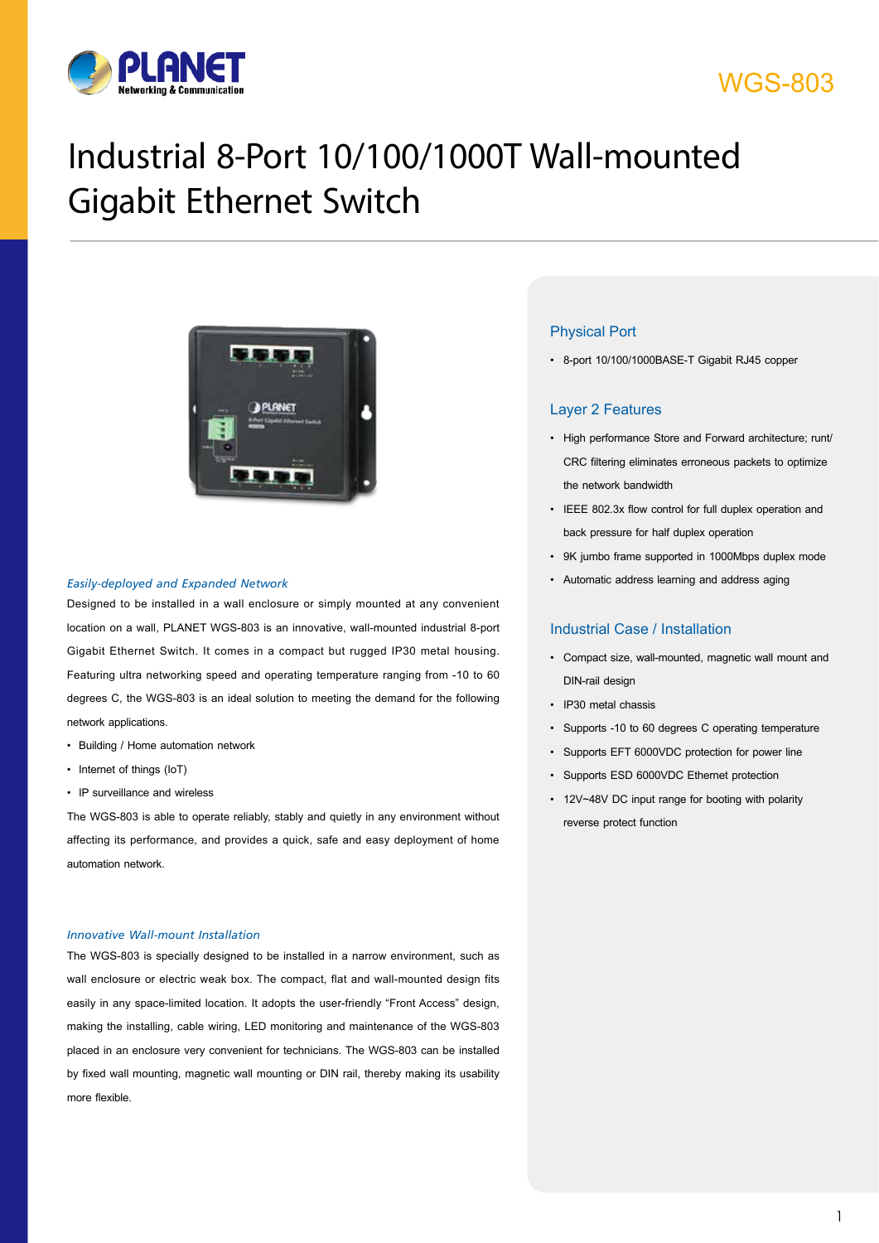

# WGS-803

# Industrial 8-Port 10/100/1000T Wall-mounted Gigabit Ethernet Switch



#### *Easily-deployed and Expanded Network*

Designed to be installed in a wall enclosure or simply mounted at any convenient location on a wall, PLANET WGS-803 is an innovative, wall-mounted industrial 8-port Gigabit Ethernet Switch. It comes in a compact but rugged IP30 metal housing. Featuring ultra networking speed and operating temperature ranging from -10 to 60 degrees C, the WGS-803 is an ideal solution to meeting the demand for the following network applications.

- • Building / Home automation network
- Internet of things (IoT)
- IP surveillance and wireless

The WGS-803 is able to operate reliably, stably and quietly in any environment without affecting its performance, and provides a quick, safe and easy deployment of home automation network.

#### *Innovative Wall-mount Installation*

The WGS-803 is specially designed to be installed in a narrow environment, such as wall enclosure or electric weak box. The compact, flat and wall-mounted design fits easily in any space-limited location. It adopts the user-friendly "Front Access" design, making the installing, cable wiring, LED monitoring and maintenance of the WGS-803 placed in an enclosure very convenient for technicians. The WGS-803 can be installed by fixed wall mounting, magnetic wall mounting or DIN rail, thereby making its usability more flexible.

#### Physical Port

• 8-port 10/100/1000BASE-T Gigabit RJ45 copper

### Layer 2 Features

- • High performance Store and Forward architecture; runt/ CRC filtering eliminates erroneous packets to optimize the network bandwidth
- • IEEE 802.3x flow control for full duplex operation and back pressure for half duplex operation
- • 9K jumbo frame supported in 1000Mbps duplex mode
- Automatic address learning and address aging

### Industrial Case / Installation

- • Compact size, wall-mounted, magnetic wall mount and DIN-rail design
- • IP30 metal chassis
- • Supports -10 to 60 degrees C operating temperature
- • Supports EFT 6000VDC protection for power line
- • Supports ESD 6000VDC Ethernet protection
- • 12V~48V DC input range for booting with polarity reverse protect function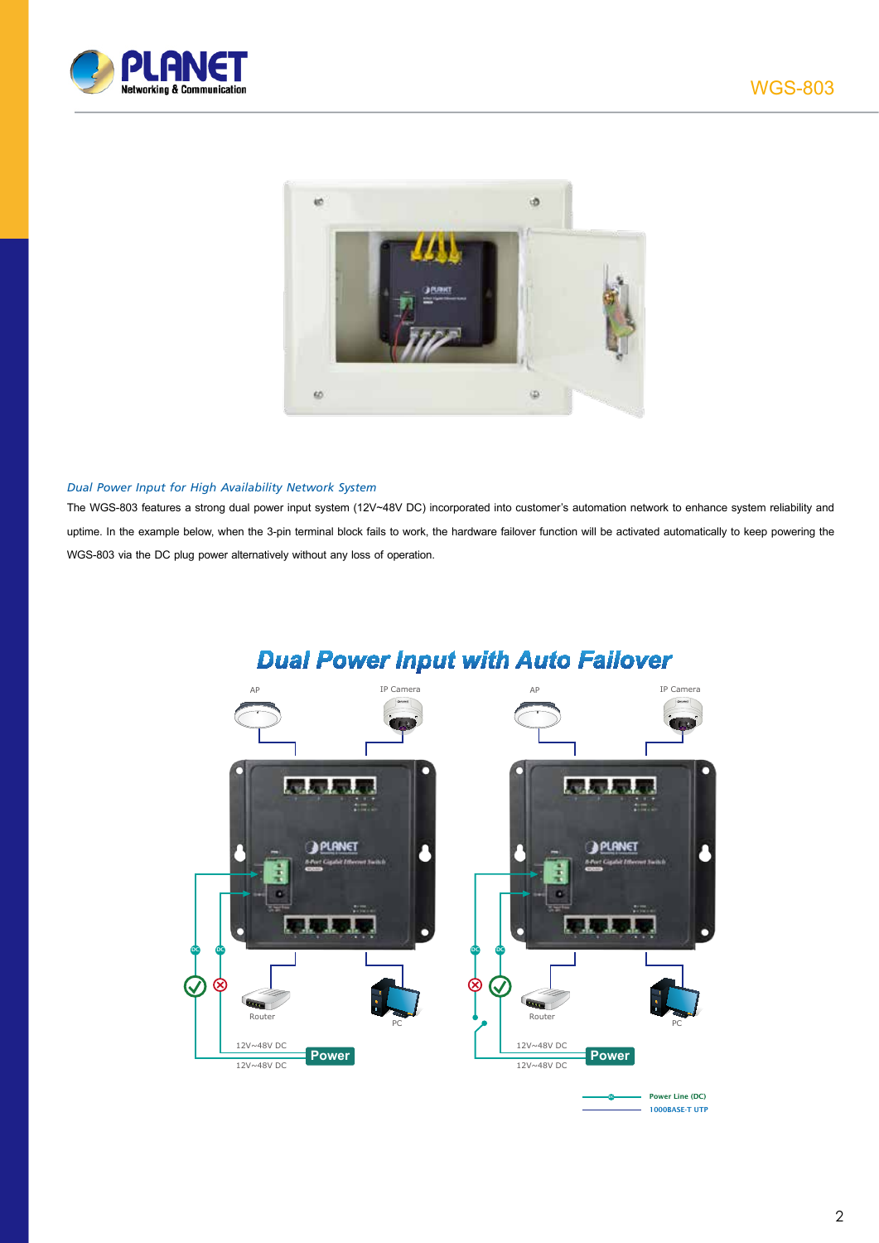



#### *Dual Power Input for High Availability Network System*

The WGS-803 features a strong dual power input system (12V~48V DC) incorporated into customer's automation network to enhance system reliability and uptime. In the example below, when the 3-pin terminal block fails to work, the hardware failover function will be activated automatically to keep powering the WGS-803 via the DC plug power alternatively without any loss of operation.



# **Dual Power Input with Auto Failover**

DC Power Line (DC) 1000BASE-T UTP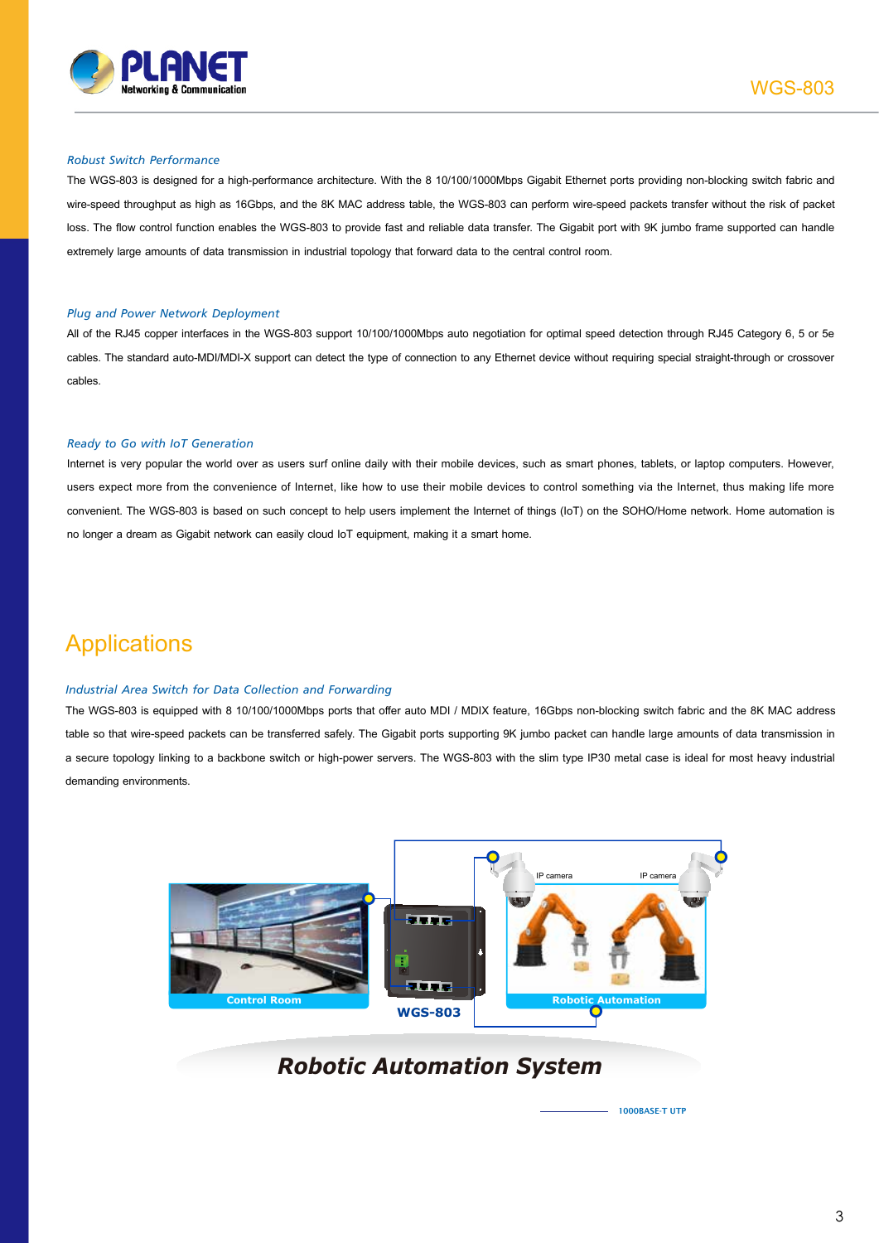

#### *Robust Switch Performance*

The WGS-803 is designed for a high-performance architecture. With the 8 10/100/1000Mbps Gigabit Ethernet ports providing non-blocking switch fabric and wire-speed throughput as high as 16Gbps, and the 8K MAC address table, the WGS-803 can perform wire-speed packets transfer without the risk of packet loss. The flow control function enables the WGS-803 to provide fast and reliable data transfer. The Gigabit port with 9K jumbo frame supported can handle extremely large amounts of data transmission in industrial topology that forward data to the central control room.

#### *Plug and Power Network Deployment*

All of the RJ45 copper interfaces in the WGS-803 support 10/100/1000Mbps auto negotiation for optimal speed detection through RJ45 Category 6, 5 or 5e cables. The standard auto-MDI/MDI-X support can detect the type of connection to any Ethernet device without requiring special straight-through or crossover cables.

#### *Ready to Go with IoT Generation*

Internet is very popular the world over as users surf online daily with their mobile devices, such as smart phones, tablets, or laptop computers. However, users expect more from the convenience of Internet, like how to use their mobile devices to control something via the Internet, thus making life more convenient. The WGS-803 is based on such concept to help users implement the Internet of things (IoT) on the SOHO/Home network. Home automation is no longer a dream as Gigabit network can easily cloud IoT equipment, making it a smart home.

# **Applications**

#### *Industrial Area Switch for Data Collection and Forwarding*

The WGS-803 is equipped with 8 10/100/1000Mbps ports that offer auto MDI / MDIX feature, 16Gbps non-blocking switch fabric and the 8K MAC address table so that wire-speed packets can be transferred safely. The Gigabit ports supporting 9K jumbo packet can handle large amounts of data transmission in a secure topology linking to a backbone switch or high-power servers. The WGS-803 with the slim type IP30 metal case is ideal for most heavy industrial demanding environments.



### *Robotic Automation System*

1000BASE-T UTP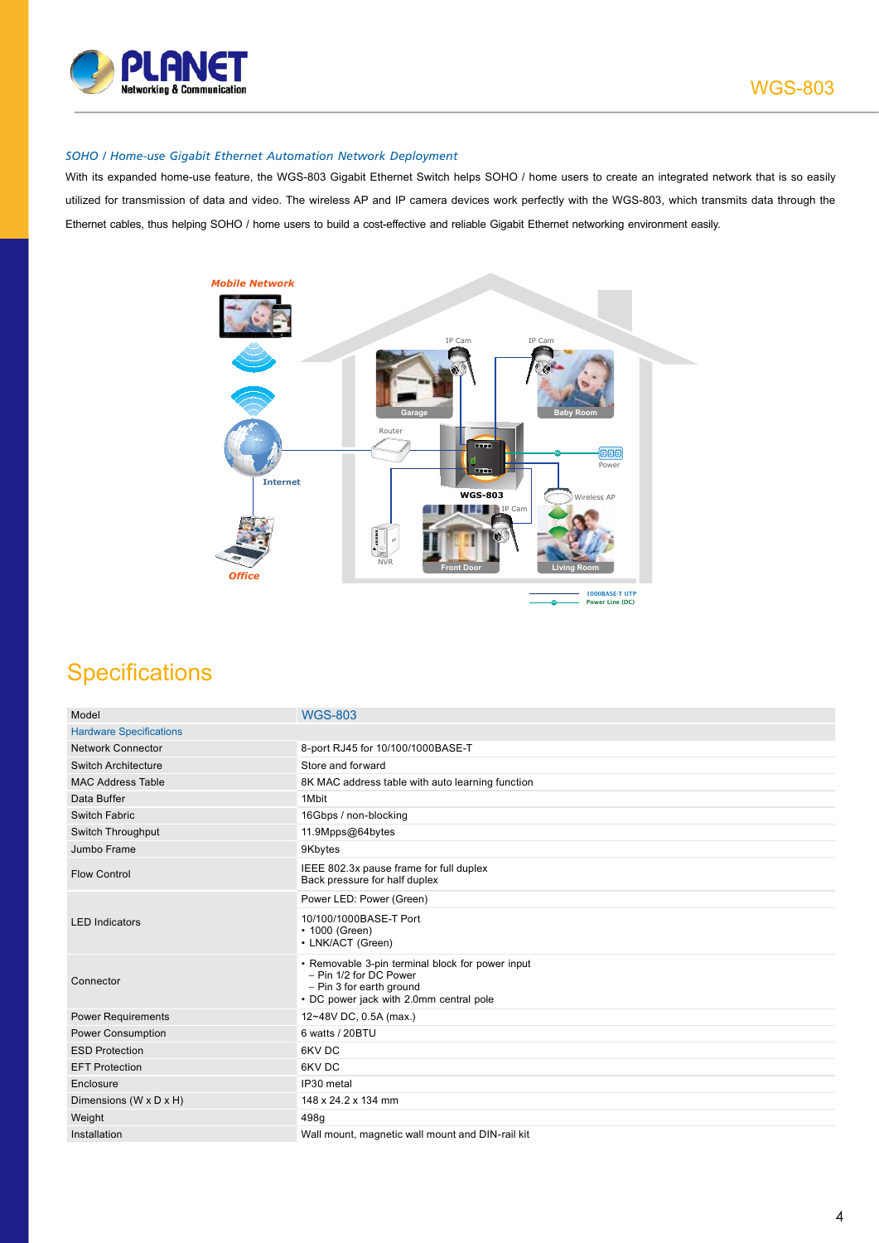

#### *SOHO / Home-use Gigabit Ethernet Automation Network Deployment*

With its expanded home-use feature, the WGS-803 Gigabit Ethernet Switch helps SOHO / home users to create an integrated network that is so easily utilized for transmission of data and video. The wireless AP and IP camera devices work perfectly with the WGS-803, which transmits data through the Ethernet cables, thus helping SOHO / home users to build a cost-effective and reliable Gigabit Ethernet networking environment easily.



# **Specifications**

| Model                          | <b>WGS-803</b>                                                                                                                                    |
|--------------------------------|---------------------------------------------------------------------------------------------------------------------------------------------------|
| <b>Hardware Specifications</b> |                                                                                                                                                   |
| <b>Network Connector</b>       | 8-port RJ45 for 10/100/1000BASE-T                                                                                                                 |
| <b>Switch Architecture</b>     | Store and forward                                                                                                                                 |
| <b>MAC Address Table</b>       | 8K MAC address table with auto learning function                                                                                                  |
| Data Buffer                    | 1Mbit                                                                                                                                             |
| Switch Fabric                  | 16Gbps / non-blocking                                                                                                                             |
| Switch Throughput              | 11.9Mpps@64bytes                                                                                                                                  |
| Jumbo Frame                    | 9Kbytes                                                                                                                                           |
| <b>Flow Control</b>            | IEEE 802.3x pause frame for full duplex<br>Back pressure for half duplex                                                                          |
| <b>LED</b> Indicators          | Power LED: Power (Green)                                                                                                                          |
|                                | 10/100/1000BASE-T Port<br>• 1000 (Green)<br>• LNK/ACT (Green)                                                                                     |
| Connector                      | • Removable 3-pin terminal block for power input<br>- Pin 1/2 for DC Power<br>- Pin 3 for earth ground<br>• DC power jack with 2.0mm central pole |
| <b>Power Requirements</b>      | 12~48V DC, 0.5A (max.)                                                                                                                            |
| <b>Power Consumption</b>       | 6 watts / 20BTU                                                                                                                                   |
| <b>ESD Protection</b>          | 6KV DC                                                                                                                                            |
| <b>EFT Protection</b>          | 6KV DC                                                                                                                                            |
| Enclosure                      | IP30 metal                                                                                                                                        |
| Dimensions (W x D x H)         | 148 x 24.2 x 134 mm                                                                                                                               |
| Weight                         | 498q                                                                                                                                              |
| Installation                   | Wall mount, magnetic wall mount and DIN-rail kit                                                                                                  |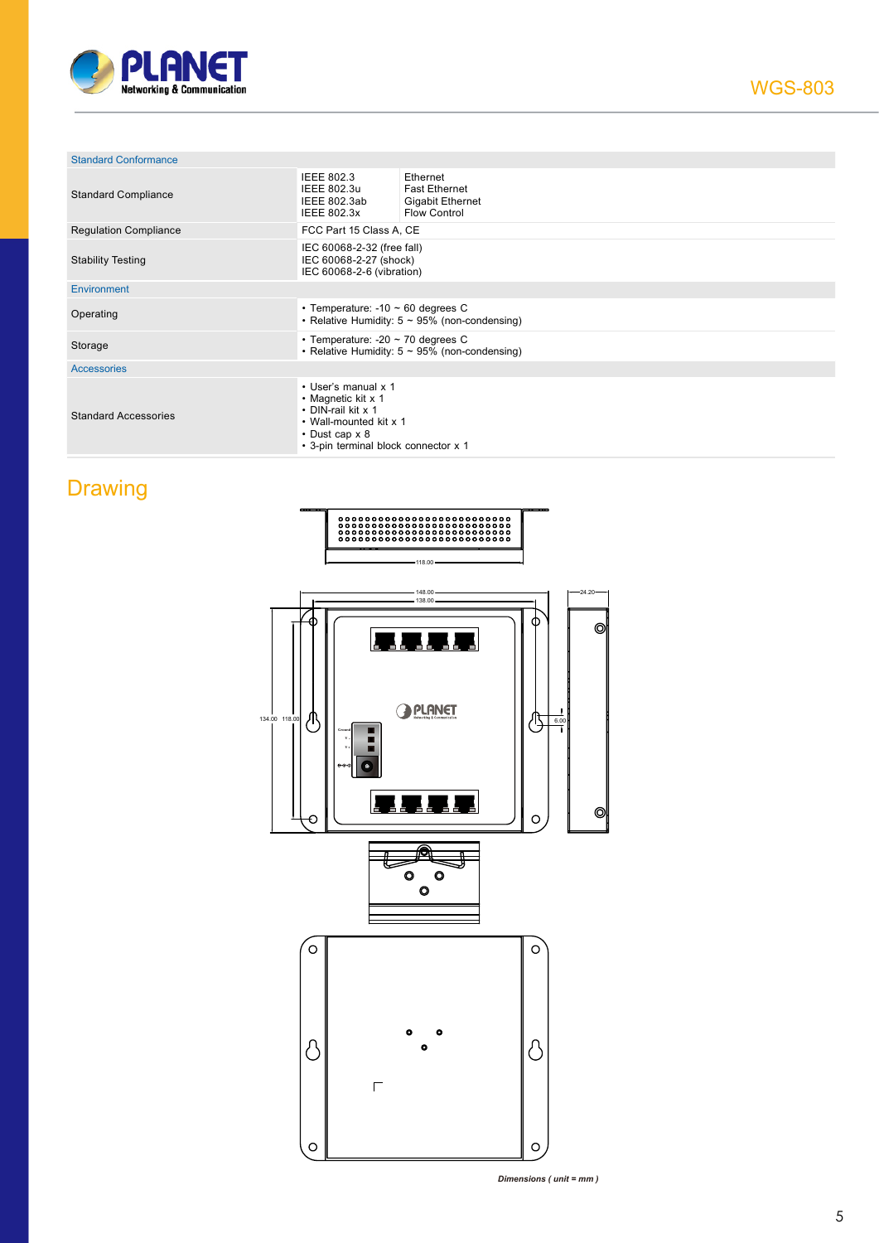

| <b>Standard Conformance</b>  |                                                                                                                                                           |                                                                                    |  |  |
|------------------------------|-----------------------------------------------------------------------------------------------------------------------------------------------------------|------------------------------------------------------------------------------------|--|--|
| <b>Standard Compliance</b>   | <b>IEEE 802.3</b><br>IEEE 802.3u<br>IEEE 802.3ab<br>IEEE 802.3x                                                                                           | Ethernet<br><b>Fast Ethernet</b><br><b>Gigabit Ethernet</b><br><b>Flow Control</b> |  |  |
| <b>Regulation Compliance</b> | FCC Part 15 Class A, CE                                                                                                                                   |                                                                                    |  |  |
| <b>Stability Testing</b>     | IEC 60068-2-32 (free fall)<br>IEC 60068-2-27 (shock)<br>IEC 60068-2-6 (vibration)                                                                         |                                                                                    |  |  |
| Environment                  |                                                                                                                                                           |                                                                                    |  |  |
| Operating                    | • Temperature: $-10 \sim 60$ degrees C                                                                                                                    | • Relative Humidity: $5 \sim 95\%$ (non-condensing)                                |  |  |
| Storage                      | • Temperature: -20 $\sim$ 70 degrees C<br>• Relative Humidity: $5 \sim 95\%$ (non-condensing)                                                             |                                                                                    |  |  |
| <b>Accessories</b>           |                                                                                                                                                           |                                                                                    |  |  |
| <b>Standard Accessories</b>  | • User's manual x 1<br>• Magnetic kit x 1<br>• DIN-rail kit x 1<br>• Wall-mounted kit x 1<br>$\cdot$ Dust cap x 8<br>• 3-pin terminal block connector x 1 |                                                                                    |  |  |

# **Drawing**



*Dimensions ( unit = mm )*